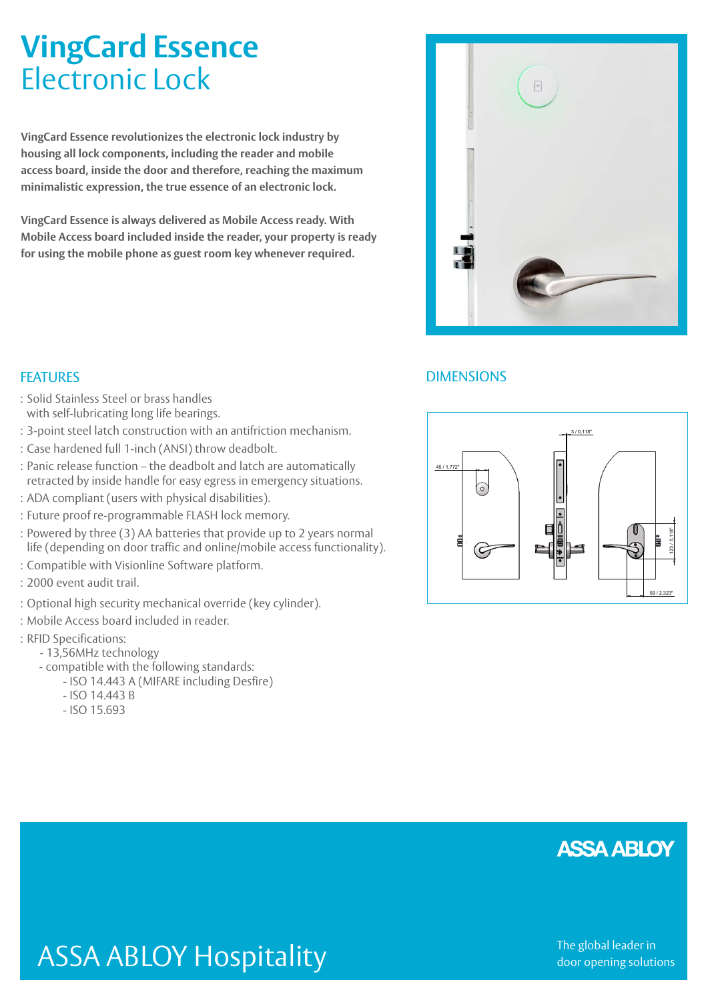# **VingCard Essence** Electronic Lock

**VingCard Essence revolutionizes the electronic lock industry by housing all lock components, including the reader and mobile access board, inside the door and therefore, reaching the maximum minimalistic expression, the true essence of an electronic lock.**

**VingCard Essence is always delivered as Mobile Access ready. With Mobile Access board included inside the reader, your property is ready for using the mobile phone as guest room key whenever required.**

- : Solid Stainless Steel or brass handles
- with self-lubricating long life bearings.
- : 3-point steel latch construction with an antifriction mechanism.
- : Case hardened full 1-inch (ANSI) throw deadbolt.
- : Panic release function the deadbolt and latch are automatically retracted by inside handle for easy egress in emergency situations.
- : ADA compliant (users with physical disabilities).
- : Future proof re-programmable FLASH lock memory.
- : Powered by three (3) AA batteries that provide up to 2 years normal life (depending on door traffic and online/mobile access functionality).
- : Compatible with Visionline Software platform.
- : 2000 event audit trail.
- : Optional high security mechanical override (key cylinder).
- : Mobile Access board included in reader.
- : RFID Specifications:
	- 13,56MHz technology
	- compatible with the following standards:
		- ISO 14.443 A (MIFARE including Desfire)
		- ISO 14.443 B
		- ISO 15.693



# **FEATURES** DIMENSIONS



ASSA ABLOY Hospitality

The global leader in